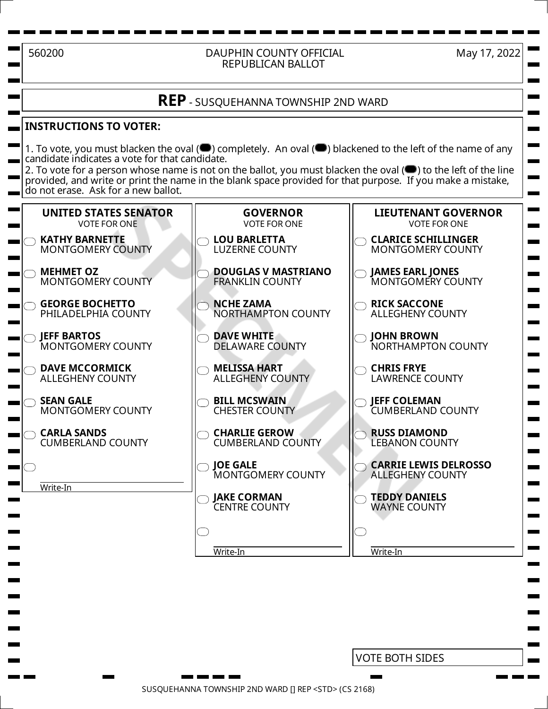## 560200 DAUPHIN COUNTY OFFICIAL REPUBLICAN BALLOT

May 17, 2022

## **REP** - SUSQUEHANNA TOWNSHIP 2ND WARD

## **INSTRUCTIONS TO VOTER:**

1. To vote, you must blacken the oval ( $\blacksquare$ ) completely. An oval ( $\blacksquare$ ) blackened to the left of the name of any candidate indicates a vote for that candidate.

2. To vote for a person whose name is not on the ballot, you must blacken the oval  $($ **)** to the left of the line provided, and write or print the name in the blank space provided for that purpose. If you make a mistake, do not erase. Ask for a new ballot.



VOTE BOTH SIDES